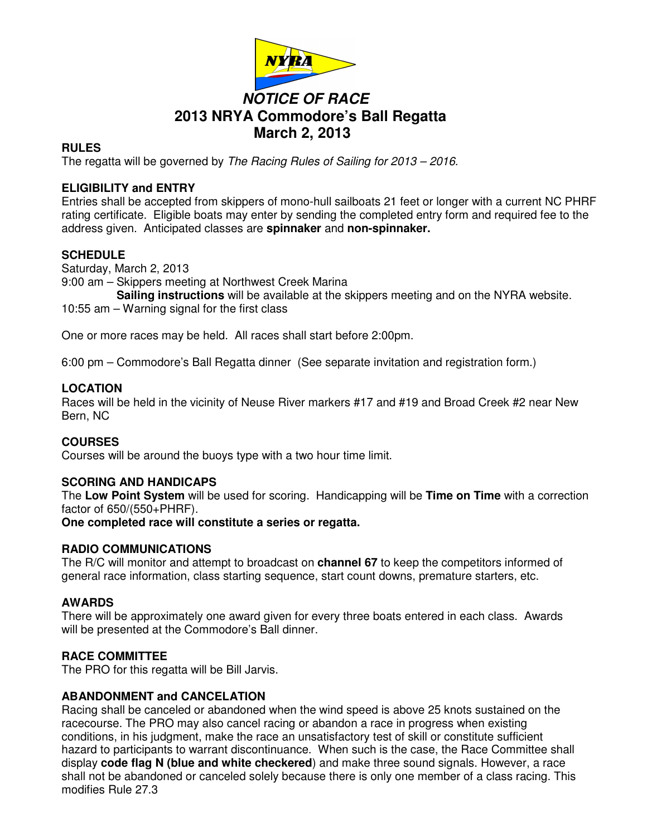

# **NOTICE OF RACE 2013 NRYA Commodore's Ball Regatta March 2, 2013**

### **RULES**

The regatta will be governed by The Racing Rules of Sailing for 2013 – 2016.

## **ELIGIBILITY and ENTRY**

Entries shall be accepted from skippers of mono-hull sailboats 21 feet or longer with a current NC PHRF rating certificate. Eligible boats may enter by sending the completed entry form and required fee to the address given. Anticipated classes are **spinnaker** and **non-spinnaker.**

## **SCHEDULE**

Saturday, March 2, 2013

9:00 am – Skippers meeting at Northwest Creek Marina

 **Sailing instructions** will be available at the skippers meeting and on the NYRA website.

10:55 am – Warning signal for the first class

One or more races may be held. All races shall start before 2:00pm.

6:00 pm – Commodore's Ball Regatta dinner (See separate invitation and registration form.)

#### **LOCATION**

Races will be held in the vicinity of Neuse River markers #17 and #19 and Broad Creek #2 near New Bern, NC

#### **COURSES**

Courses will be around the buoys type with a two hour time limit.

#### **SCORING AND HANDICAPS**

The **Low Point System** will be used for scoring. Handicapping will be **Time on Time** with a correction factor of 650/(550+PHRF).

**One completed race will constitute a series or regatta.** 

#### **RADIO COMMUNICATIONS**

The R/C will monitor and attempt to broadcast on **channel 67** to keep the competitors informed of general race information, class starting sequence, start count downs, premature starters, etc.

#### **AWARDS**

There will be approximately one award given for every three boats entered in each class. Awards will be presented at the Commodore's Ball dinner.

#### **RACE COMMITTEE**

The PRO for this regatta will be Bill Jarvis.

#### **ABANDONMENT and CANCELATION**

Racing shall be canceled or abandoned when the wind speed is above 25 knots sustained on the racecourse. The PRO may also cancel racing or abandon a race in progress when existing conditions, in his judgment, make the race an unsatisfactory test of skill or constitute sufficient hazard to participants to warrant discontinuance. When such is the case, the Race Committee shall display **code flag N (blue and white checkered**) and make three sound signals. However, a race shall not be abandoned or canceled solely because there is only one member of a class racing. This modifies Rule 27.3